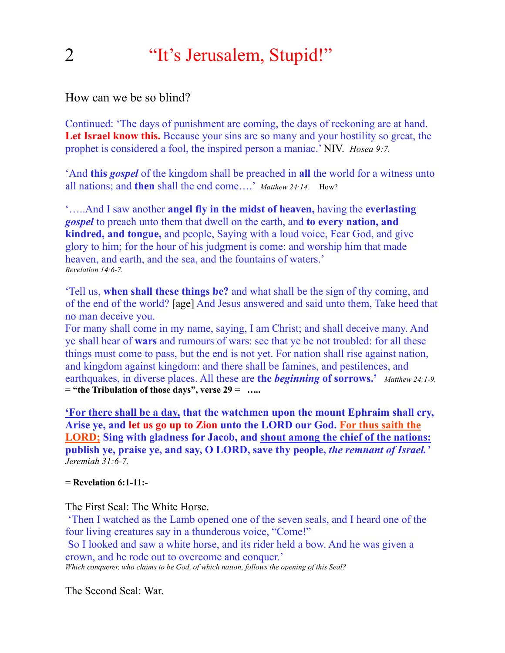## 2 "It's Jerusalem, Stupid!"

How can we be so blind?

Continued: 'The days of punishment are coming, the days of reckoning are at hand. **Let Israel know this.** Because your sins are so many and your hostility so great, the prophet is considered a fool, the inspired person a maniac.' NIV. *Hosea 9:7.*

'And **this** *gospel* of the kingdom shall be preached in **all** the world for a witness unto all nations; and **then** shall the end come….' *Matthew 24:14.* How?

'…..And I saw another **angel fly in the midst of heaven,** having the **everlasting**  *gospel* to preach unto them that dwell on the earth, and **to every nation, and kindred, and tongue,** and people, Saying with a loud voice, Fear God, and give glory to him; for the hour of his judgment is come: and worship him that made heaven, and earth, and the sea, and the fountains of waters.' *Revelation 14:6-7.* 

'Tell us, **when shall these things be?** and what shall be the sign of thy coming, and of the end of the world? [age] And Jesus answered and said unto them, Take heed that no man deceive you.

For many shall come in my name, saying, I am Christ; and shall deceive many. And ye shall hear of **wars** and rumours of wars: see that ye be not troubled: for all these things must come to pass, but the end is not yet. For nation shall rise against nation, and kingdom against kingdom: and there shall be famines, and pestilences, and earthquakes, in diverse places. All these are **the** *beginning* **of sorrows.'** *Matthew 24:1-9.* **= "the Tribulation of those days", verse 29** *= …..*

**'For there shall be a day, that the watchmen upon the mount Ephraim shall cry, Arise ye, and let us go up to Zion unto the LORD our God. For thus saith the LORD; Sing with gladness for Jacob, and shout among the chief of the nations: publish ye, praise ye, and say, O LORD, save thy people,** *the remnant of Israel.' Jeremiah 31:6-7.* 

**= Revelation 6:1-11:-**

The First Seal: The White Horse.

 'Then I watched as the Lamb opened one of the seven seals, and I heard one of the four living creatures say in a thunderous voice, "Come!" So I looked and saw a white horse, and its rider held a bow. And he was given a crown, and he rode out to overcome and conquer.' *Which conquerer, who claims to be God, of which nation, follows the opening of this Seal?* 

The Second Seal: War.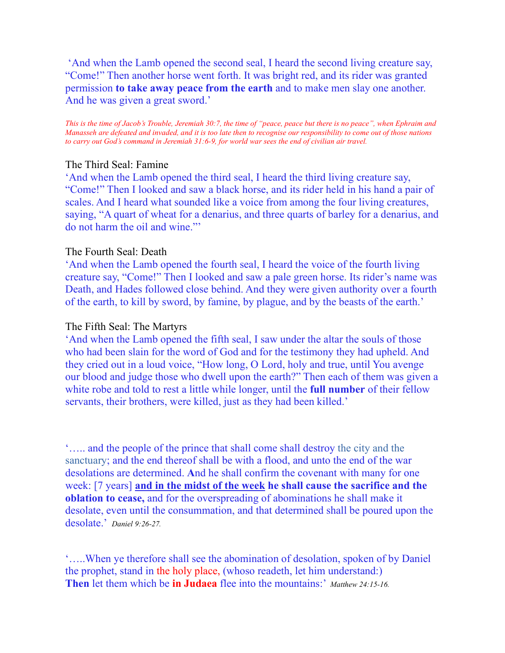'And when the Lamb opened the second seal, I heard the second living creature say, "Come!" Then another horse went forth. It was bright red, and its rider was granted permission **to take away peace from the earth** and to make men slay one another. And he was given a great sword.'

*This is the time of Jacob's Trouble, Jeremiah 30:7, the time of "peace, peace but there is no peace", when Ephraim and Manasseh are defeated and invaded, and it is too late then to recognise our responsibility to come out of those nations to carry out God's command in Jeremiah 31:6-9, for world war sees the end of civilian air travel.* 

## The Third Seal: Famine

'And when the Lamb opened the third seal, I heard the third living creature say, "Come!" Then I looked and saw a black horse, and its rider held in his hand a pair of scales. And I heard what sounded like a voice from among the four living creatures, saying, "A quart of wheat for a denarius, and three quarts of barley for a denarius, and do not harm the oil and wine."'

## The Fourth Seal: Death

'And when the Lamb opened the fourth seal, I heard the voice of the fourth living creature say, "Come!" Then I looked and saw a pale green horse. Its rider's name was Death, and Hades followed close behind. And they were given authority over a fourth of the earth, to kill by sword, by famine, by plague, and by the beasts of the earth.'

## The Fifth Seal: The Martyrs

'And when the Lamb opened the fifth seal, I saw under the altar the souls of those who had been slain for the word of God and for the testimony they had upheld. And they cried out in a loud voice, "How long, O Lord, holy and true, until You avenge our blood and judge those who dwell upon the earth?" Then each of them was given a white robe and told to rest a little while longer, until the **full number** of their fellow servants, their brothers, were killed, just as they had been killed.'

'….. and the people of the prince that shall come shall destroy the city and the sanctuary; and the end thereof shall be with a flood, and unto the end of the war desolations are determined. **A**nd he shall confirm the covenant with many for one week: [7 years] **and in the midst of the week he shall cause the sacrifice and the oblation to cease,** and for the overspreading of abominations he shall make it desolate, even until the consummation, and that determined shall be poured upon the desolate.' *Daniel 9:26-27.*

'…..When ye therefore shall see the abomination of desolation, spoken of by Daniel the prophet, stand in the holy place, (whoso readeth, let him understand:) **Then** let them which be **in Judaea** flee into the mountains:' *Matthew 24:15-16.*